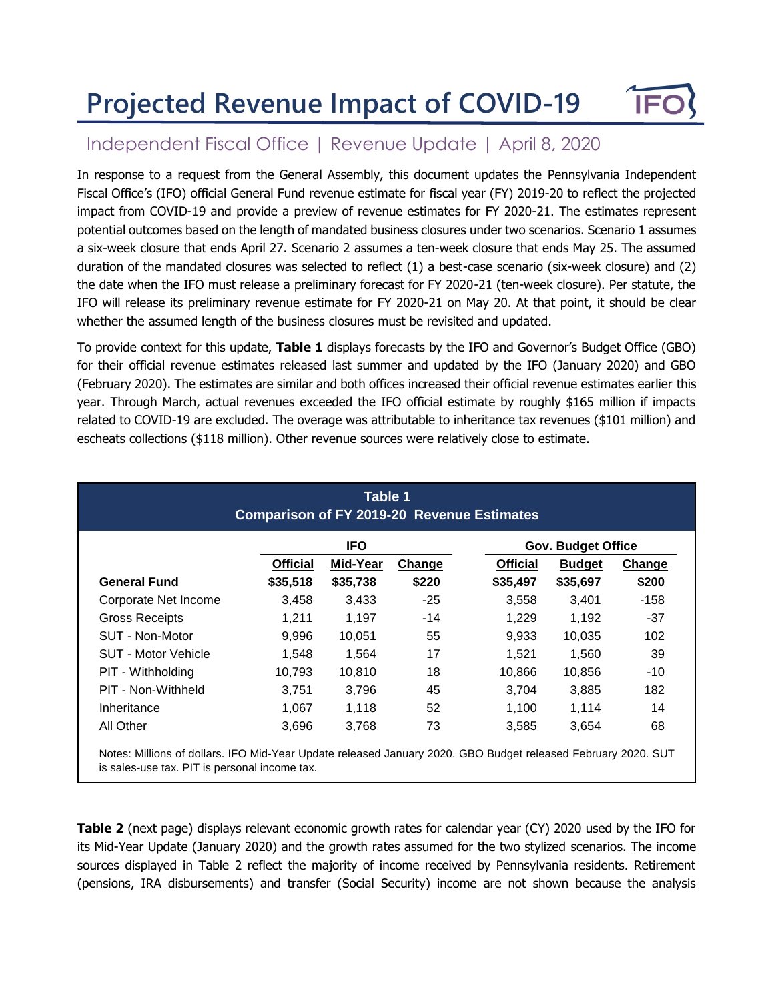## **Projected Revenue Impact of COVID-19**



## Independent Fiscal Office | Revenue Update | April 8, 2020

In response to a request from the General Assembly, this document updates the Pennsylvania Independent Fiscal Office's (IFO) official General Fund revenue estimate for fiscal year (FY) 2019-20 to reflect the projected impact from COVID-19 and provide a preview of revenue estimates for FY 2020-21. The estimates represent potential outcomes based on the length of mandated business closures under two scenarios. Scenario 1 assumes a six-week closure that ends April 27. Scenario 2 assumes a ten-week closure that ends May 25. The assumed duration of the mandated closures was selected to reflect (1) a best-case scenario (six-week closure) and (2) the date when the IFO must release a preliminary forecast for FY 2020-21 (ten-week closure). Per statute, the IFO will release its preliminary revenue estimate for FY 2020-21 on May 20. At that point, it should be clear whether the assumed length of the business closures must be revisited and updated.

To provide context for this update, **Table 1** displays forecasts by the IFO and Governor's Budget Office (GBO) for their official revenue estimates released last summer and updated by the IFO (January 2020) and GBO (February 2020). The estimates are similar and both offices increased their official revenue estimates earlier this year. Through March, actual revenues exceeded the IFO official estimate by roughly \$165 million if impacts related to COVID-19 are excluded. The overage was attributable to inheritance tax revenues (\$101 million) and escheats collections (\$118 million). Other revenue sources were relatively close to estimate.

|                       |                 | <b>IFO</b> |        |                 | <b>Gov. Budget Office</b> |        |
|-----------------------|-----------------|------------|--------|-----------------|---------------------------|--------|
|                       | <b>Official</b> | Mid-Year   | Change | <b>Official</b> | <b>Budget</b>             | Change |
| <b>General Fund</b>   | \$35,518        | \$35,738   | \$220  | \$35,497        | \$35,697                  | \$200  |
| Corporate Net Income  | 3,458           | 3,433      | -25    | 3,558           | 3,401                     | -158   |
| <b>Gross Receipts</b> | 1.211           | 1.197      | $-14$  | 1,229           | 1.192                     | $-37$  |
| SUT - Non-Motor       | 9,996           | 10,051     | 55     | 9,933           | 10,035                    | 102    |
| SUT - Motor Vehicle   | 1,548           | 1,564      | 17     | 1,521           | 1,560                     | 39     |
| PIT - Withholding     | 10,793          | 10,810     | 18     | 10,866          | 10,856                    | $-10$  |
| PIT - Non-Withheld    | 3,751           | 3,796      | 45     | 3,704           | 3,885                     | 182    |
| Inheritance           | 1,067           | 1,118      | 52     | 1,100           | 1,114                     | 14     |
| All Other             | 3,696           | 3,768      | 73     | 3,585           | 3,654                     | 68     |

**Table 2** (next page) displays relevant economic growth rates for calendar year (CY) 2020 used by the IFO for its Mid-Year Update (January 2020) and the growth rates assumed for the two stylized scenarios. The income sources displayed in Table 2 reflect the majority of income received by Pennsylvania residents. Retirement (pensions, IRA disbursements) and transfer (Social Security) income are not shown because the analysis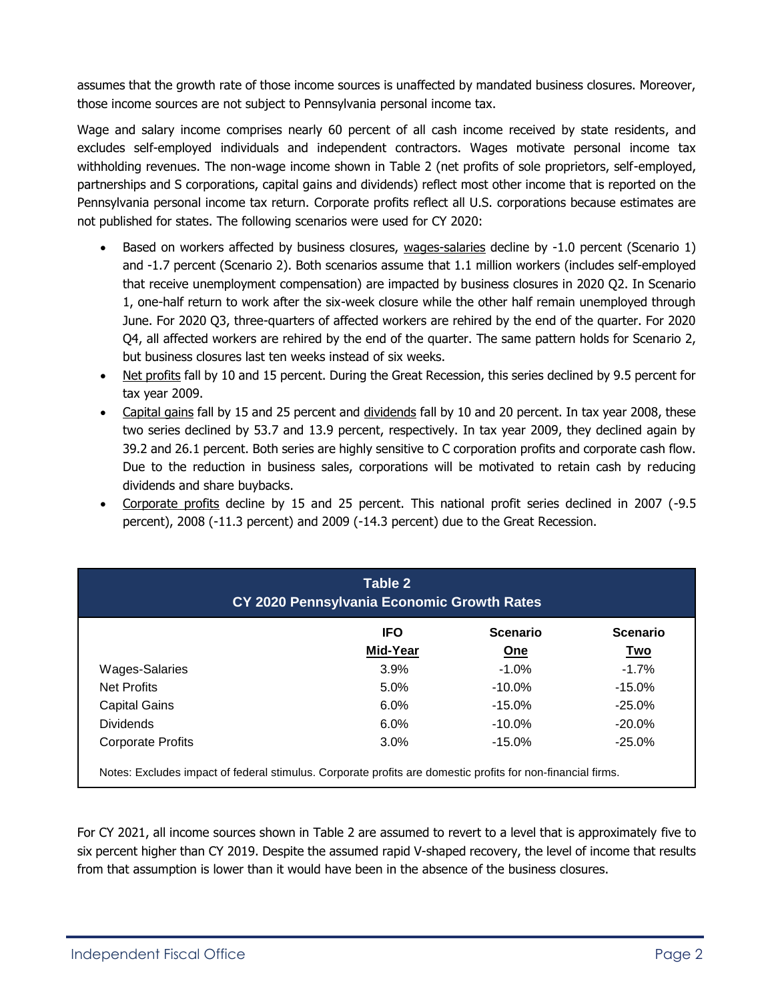assumes that the growth rate of those income sources is unaffected by mandated business closures. Moreover, those income sources are not subject to Pennsylvania personal income tax.

Wage and salary income comprises nearly 60 percent of all cash income received by state residents, and excludes self-employed individuals and independent contractors. Wages motivate personal income tax withholding revenues. The non-wage income shown in Table 2 (net profits of sole proprietors, self-employed, partnerships and S corporations, capital gains and dividends) reflect most other income that is reported on the Pennsylvania personal income tax return. Corporate profits reflect all U.S. corporations because estimates are not published for states. The following scenarios were used for CY 2020:

- Based on workers affected by business closures, wages-salaries decline by -1.0 percent (Scenario 1) and -1.7 percent (Scenario 2). Both scenarios assume that 1.1 million workers (includes self-employed that receive unemployment compensation) are impacted by business closures in 2020 Q2. In Scenario 1, one-half return to work after the six-week closure while the other half remain unemployed through June. For 2020 Q3, three-quarters of affected workers are rehired by the end of the quarter. For 2020 Q4, all affected workers are rehired by the end of the quarter. The same pattern holds for Scenario 2, but business closures last ten weeks instead of six weeks.
- Net profits fall by 10 and 15 percent. During the Great Recession, this series declined by 9.5 percent for tax year 2009.
- Capital gains fall by 15 and 25 percent and dividends fall by 10 and 20 percent. In tax year 2008, these two series declined by 53.7 and 13.9 percent, respectively. In tax year 2009, they declined again by 39.2 and 26.1 percent. Both series are highly sensitive to C corporation profits and corporate cash flow. Due to the reduction in business sales, corporations will be motivated to retain cash by reducing dividends and share buybacks.
- Corporate profits decline by 15 and 25 percent. This national profit series declined in 2007 (-9.5 percent), 2008 (-11.3 percent) and 2009 (-14.3 percent) due to the Great Recession.

| CY 2020 Pennsylvania Economic Growth Rates |                        |                        |                               |  |  |  |
|--------------------------------------------|------------------------|------------------------|-------------------------------|--|--|--|
|                                            | <b>IFO</b><br>Mid-Year | <b>Scenario</b><br>One | <b>Scenario</b><br><u>Two</u> |  |  |  |
| Wages-Salaries                             | 3.9%                   | $-1.0%$                | $-1.7%$                       |  |  |  |
| Net Profits                                | 5.0%                   | $-10.0\%$              | $-15.0%$                      |  |  |  |
| <b>Capital Gains</b>                       | 6.0%                   | $-15.0%$               | $-25.0%$                      |  |  |  |
| <b>Dividends</b>                           | $6.0\%$                | $-10.0\%$              | $-20.0%$                      |  |  |  |
| <b>Corporate Profits</b>                   | 3.0%                   | $-15.0%$               | $-25.0%$                      |  |  |  |

For CY 2021, all income sources shown in Table 2 are assumed to revert to a level that is approximately five to six percent higher than CY 2019. Despite the assumed rapid V-shaped recovery, the level of income that results from that assumption is lower than it would have been in the absence of the business closures.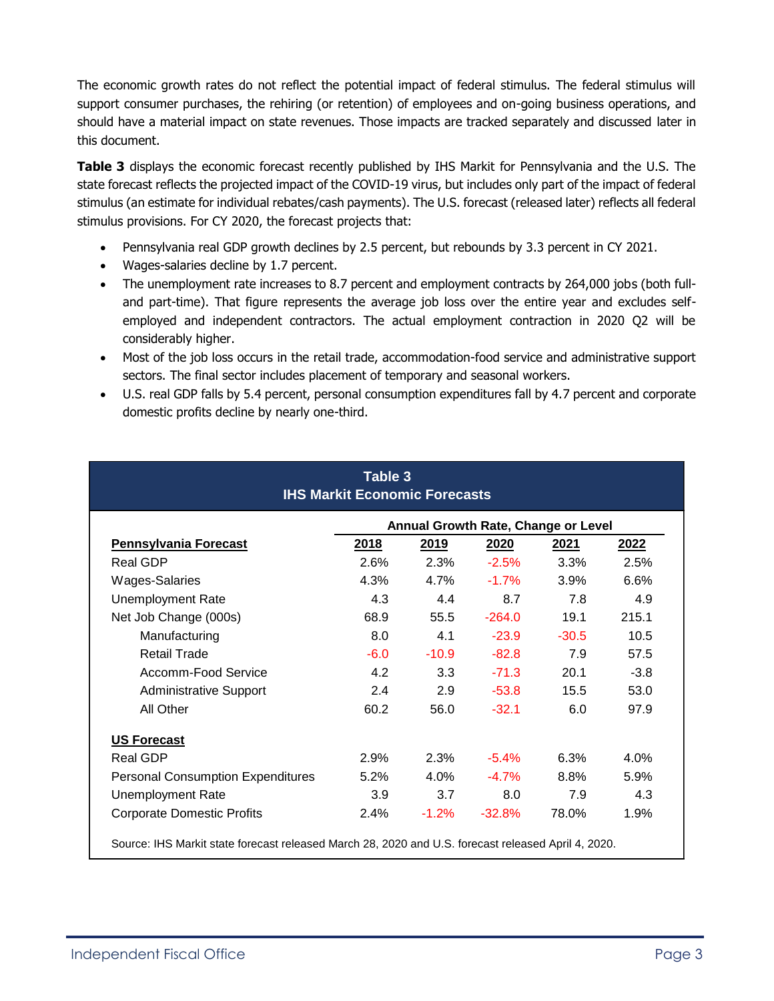The economic growth rates do not reflect the potential impact of federal stimulus. The federal stimulus will support consumer purchases, the rehiring (or retention) of employees and on-going business operations, and should have a material impact on state revenues. Those impacts are tracked separately and discussed later in this document.

**Table 3** displays the economic forecast recently published by IHS Markit for Pennsylvania and the U.S. The state forecast reflects the projected impact of the COVID-19 virus, but includes only part of the impact of federal stimulus (an estimate for individual rebates/cash payments). The U.S. forecast (released later) reflects all federal stimulus provisions. For CY 2020, the forecast projects that:

- Pennsylvania real GDP growth declines by 2.5 percent, but rebounds by 3.3 percent in CY 2021.
- Wages-salaries decline by 1.7 percent.
- The unemployment rate increases to 8.7 percent and employment contracts by 264,000 jobs (both fulland part-time). That figure represents the average job loss over the entire year and excludes selfemployed and independent contractors. The actual employment contraction in 2020 Q2 will be considerably higher.
- Most of the job loss occurs in the retail trade, accommodation-food service and administrative support sectors. The final sector includes placement of temporary and seasonal workers.
- U.S. real GDP falls by 5.4 percent, personal consumption expenditures fall by 4.7 percent and corporate domestic profits decline by nearly one-third.

|                                          | Annual Growth Rate, Change or Level |         |          |         |        |  |  |
|------------------------------------------|-------------------------------------|---------|----------|---------|--------|--|--|
| <b>Pennsylvania Forecast</b>             | <u>2018</u>                         | 2019    | 2020     | 2021    | 2022   |  |  |
| Real GDP                                 | 2.6%                                | 2.3%    | $-2.5%$  | $3.3\%$ | 2.5%   |  |  |
| <b>Wages-Salaries</b>                    | 4.3%                                | 4.7%    | $-1.7%$  | 3.9%    | 6.6%   |  |  |
| <b>Unemployment Rate</b>                 | 4.3                                 | 4.4     | 8.7      | 7.8     | 4.9    |  |  |
| Net Job Change (000s)                    | 68.9                                | 55.5    | $-264.0$ | 19.1    | 215.1  |  |  |
| Manufacturing                            | 8.0                                 | 4.1     | $-23.9$  | $-30.5$ | 10.5   |  |  |
| <b>Retail Trade</b>                      | $-6.0$                              | $-10.9$ | $-82.8$  | 7.9     | 57.5   |  |  |
| Accomm-Food Service                      | 4.2                                 | 3.3     | $-71.3$  | 20.1    | $-3.8$ |  |  |
| <b>Administrative Support</b>            | 2.4                                 | 2.9     | $-53.8$  | 15.5    | 53.0   |  |  |
| All Other                                | 60.2                                | 56.0    | $-32.1$  | 6.0     | 97.9   |  |  |
| <b>US Forecast</b>                       |                                     |         |          |         |        |  |  |
| <b>Real GDP</b>                          | 2.9%                                | 2.3%    | $-5.4%$  | 6.3%    | 4.0%   |  |  |
| <b>Personal Consumption Expenditures</b> | 5.2%                                | 4.0%    | $-4.7\%$ | 8.8%    | 5.9%   |  |  |
| <b>Unemployment Rate</b>                 | 3.9                                 | 3.7     | 8.0      | 7.9     | 4.3    |  |  |
| <b>Corporate Domestic Profits</b>        | 2.4%                                | $-1.2%$ | $-32.8%$ | 78.0%   | 1.9%   |  |  |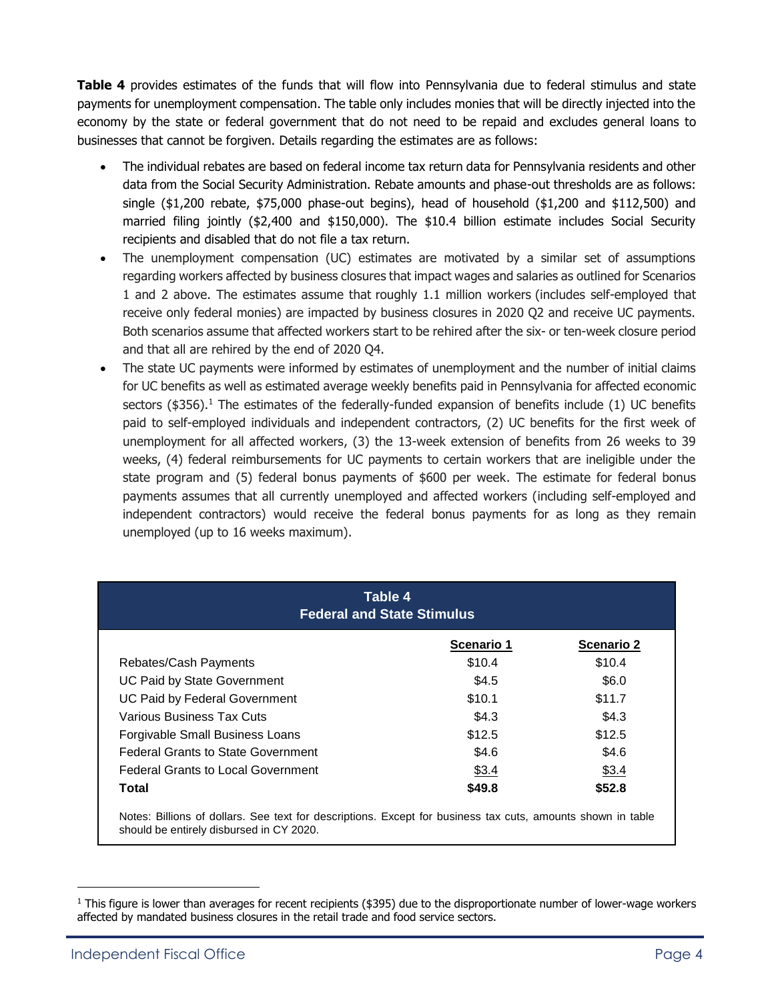**Table 4** provides estimates of the funds that will flow into Pennsylvania due to federal stimulus and state payments for unemployment compensation. The table only includes monies that will be directly injected into the economy by the state or federal government that do not need to be repaid and excludes general loans to businesses that cannot be forgiven. Details regarding the estimates are as follows:

- The individual rebates are based on federal income tax return data for Pennsylvania residents and other data from the Social Security Administration. Rebate amounts and phase-out thresholds are as follows: single (\$1,200 rebate, \$75,000 phase-out begins), head of household (\$1,200 and \$112,500) and married filing jointly (\$2,400 and \$150,000). The \$10.4 billion estimate includes Social Security recipients and disabled that do not file a tax return.
- The unemployment compensation (UC) estimates are motivated by a similar set of assumptions regarding workers affected by business closures that impact wages and salaries as outlined for Scenarios 1 and 2 above. The estimates assume that roughly 1.1 million workers (includes self-employed that receive only federal monies) are impacted by business closures in 2020 Q2 and receive UC payments. Both scenarios assume that affected workers start to be rehired after the six- or ten-week closure period and that all are rehired by the end of 2020 Q4.
- The state UC payments were informed by estimates of unemployment and the number of initial claims for UC benefits as well as estimated average weekly benefits paid in Pennsylvania for affected economic sectors (\$356).<sup>1</sup> The estimates of the federally-funded expansion of benefits include (1) UC benefits paid to self-employed individuals and independent contractors, (2) UC benefits for the first week of unemployment for all affected workers, (3) the 13-week extension of benefits from 26 weeks to 39 weeks, (4) federal reimbursements for UC payments to certain workers that are ineligible under the state program and (5) federal bonus payments of \$600 per week. The estimate for federal bonus payments assumes that all currently unemployed and affected workers (including self-employed and independent contractors) would receive the federal bonus payments for as long as they remain unemployed (up to 16 weeks maximum).

| Table 4<br><b>Federal and State Stimulus</b> |            |                   |  |  |  |
|----------------------------------------------|------------|-------------------|--|--|--|
|                                              | Scenario 1 | <b>Scenario 2</b> |  |  |  |
| Rebates/Cash Payments                        | \$10.4     | \$10.4            |  |  |  |
| UC Paid by State Government                  | \$4.5      | \$6.0             |  |  |  |
| UC Paid by Federal Government                | \$10.1     | \$11.7            |  |  |  |
| <b>Various Business Tax Cuts</b>             | \$4.3      | \$4.3             |  |  |  |
| Forgivable Small Business Loans              | \$12.5     | \$12.5            |  |  |  |
| <b>Federal Grants to State Government</b>    | \$4.6      | \$4.6             |  |  |  |
| <b>Federal Grants to Local Government</b>    | \$3.4      | \$3.4             |  |  |  |
| Total                                        | \$49.8     | \$52.8            |  |  |  |

Notes: Billions of dollars. See text for descriptions. Except for business tax cuts, amounts shown in table should be entirely disbursed in CY 2020.

 $<sup>1</sup>$  This figure is lower than averages for recent recipients (\$395) due to the disproportionate number of lower-wage workers</sup> affected by mandated business closures in the retail trade and food service sectors.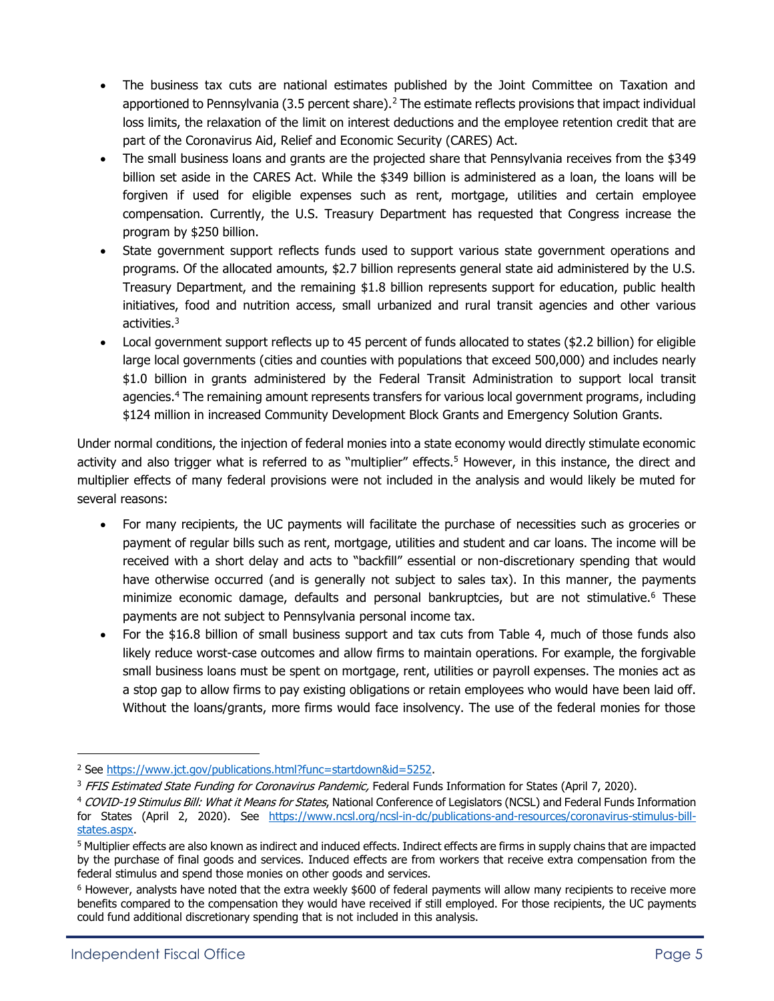- The business tax cuts are national estimates published by the Joint Committee on Taxation and apportioned to Pennsylvania (3.5 percent share).<sup>2</sup> The estimate reflects provisions that impact individual loss limits, the relaxation of the limit on interest deductions and the employee retention credit that are part of the Coronavirus Aid, Relief and Economic Security (CARES) Act.
- The small business loans and grants are the projected share that Pennsylvania receives from the \$349 billion set aside in the CARES Act. While the \$349 billion is administered as a loan, the loans will be forgiven if used for eligible expenses such as rent, mortgage, utilities and certain employee compensation. Currently, the U.S. Treasury Department has requested that Congress increase the program by \$250 billion.
- State government support reflects funds used to support various state government operations and programs. Of the allocated amounts, \$2.7 billion represents general state aid administered by the U.S. Treasury Department, and the remaining \$1.8 billion represents support for education, public health initiatives, food and nutrition access, small urbanized and rural transit agencies and other various activities.<sup>3</sup>
- Local government support reflects up to 45 percent of funds allocated to states (\$2.2 billion) for eligible large local governments (cities and counties with populations that exceed 500,000) and includes nearly \$1.0 billion in grants administered by the Federal Transit Administration to support local transit agencies.<sup>4</sup> The remaining amount represents transfers for various local government programs, including \$124 million in increased Community Development Block Grants and Emergency Solution Grants.

Under normal conditions, the injection of federal monies into a state economy would directly stimulate economic activity and also trigger what is referred to as "multiplier" effects.<sup>5</sup> However, in this instance, the direct and multiplier effects of many federal provisions were not included in the analysis and would likely be muted for several reasons:

- For many recipients, the UC payments will facilitate the purchase of necessities such as groceries or payment of regular bills such as rent, mortgage, utilities and student and car loans. The income will be received with a short delay and acts to "backfill" essential or non-discretionary spending that would have otherwise occurred (and is generally not subject to sales tax). In this manner, the payments minimize economic damage, defaults and personal bankruptcies, but are not stimulative.<sup>6</sup> These payments are not subject to Pennsylvania personal income tax.
- For the \$16.8 billion of small business support and tax cuts from Table 4, much of those funds also likely reduce worst-case outcomes and allow firms to maintain operations. For example, the forgivable small business loans must be spent on mortgage, rent, utilities or payroll expenses. The monies act as a stop gap to allow firms to pay existing obligations or retain employees who would have been laid off. Without the loans/grants, more firms would face insolvency. The use of the federal monies for those

<sup>&</sup>lt;sup>2</sup> See [https://www.jct.gov/publications.html?func=startdown&id=5252.](https://www.jct.gov/publications.html?func=startdown&id=5252)

<sup>&</sup>lt;sup>3</sup> FFIS Estimated State Funding for Coronavirus Pandemic, Federal Funds Information for States (April 7, 2020).

<sup>4</sup> COVID-19 Stimulus Bill: What it Means for States, National Conference of Legislators (NCSL) and Federal Funds Information for States (April 2, 2020). See [https://www.ncsl.org/ncsl-in-dc/publications-and-resources/coronavirus-stimulus-bill](https://www.ncsl.org/ncsl-in-dc/publications-and-resources/coronavirus-stimulus-bill-states.aspx)[states.aspx.](https://www.ncsl.org/ncsl-in-dc/publications-and-resources/coronavirus-stimulus-bill-states.aspx)

<sup>5</sup> Multiplier effects are also known as indirect and induced effects. Indirect effects are firms in supply chains that are impacted by the purchase of final goods and services. Induced effects are from workers that receive extra compensation from the federal stimulus and spend those monies on other goods and services.

 $6$  However, analysts have noted that the extra weekly \$600 of federal payments will allow many recipients to receive more benefits compared to the compensation they would have received if still employed. For those recipients, the UC payments could fund additional discretionary spending that is not included in this analysis.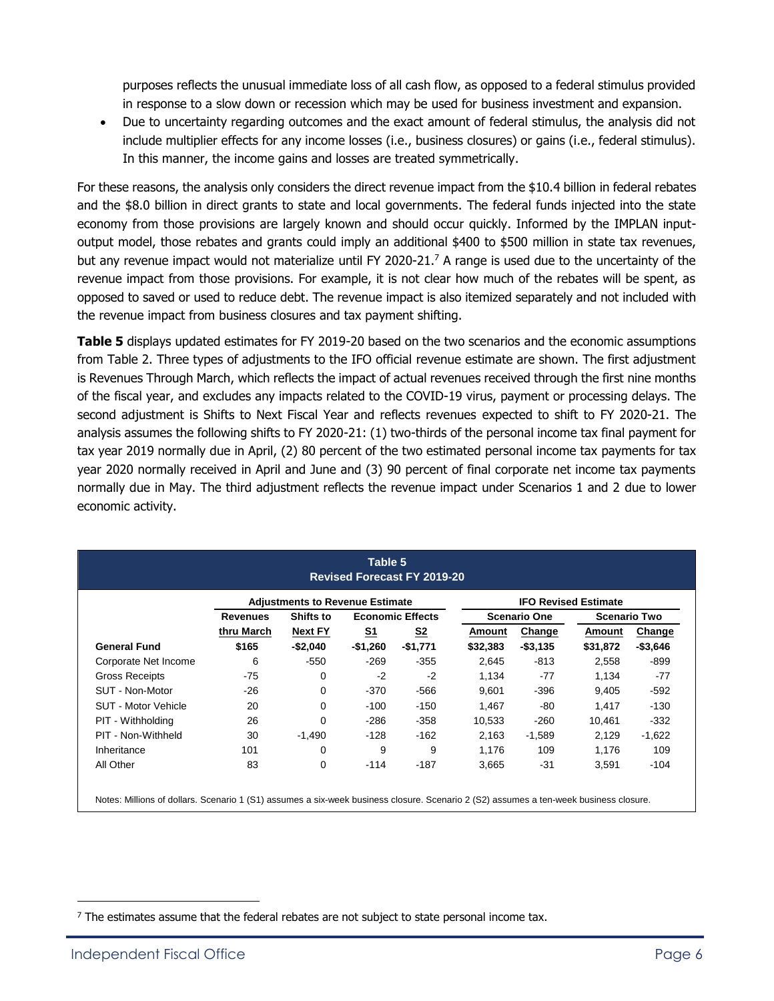purposes reflects the unusual immediate loss of all cash flow, as opposed to a federal stimulus provided in response to a slow down or recession which may be used for business investment and expansion.

 Due to uncertainty regarding outcomes and the exact amount of federal stimulus, the analysis did not include multiplier effects for any income losses (i.e., business closures) or gains (i.e., federal stimulus). In this manner, the income gains and losses are treated symmetrically.

For these reasons, the analysis only considers the direct revenue impact from the \$10.4 billion in federal rebates and the \$8.0 billion in direct grants to state and local governments. The federal funds injected into the state economy from those provisions are largely known and should occur quickly. Informed by the IMPLAN inputoutput model, those rebates and grants could imply an additional \$400 to \$500 million in state tax revenues, but any revenue impact would not materialize until FY 2020-21.<sup>7</sup> A range is used due to the uncertainty of the revenue impact from those provisions. For example, it is not clear how much of the rebates will be spent, as opposed to saved or used to reduce debt. The revenue impact is also itemized separately and not included with the revenue impact from business closures and tax payment shifting.

**Table 5** displays updated estimates for FY 2019-20 based on the two scenarios and the economic assumptions from Table 2. Three types of adjustments to the IFO official revenue estimate are shown. The first adjustment is Revenues Through March, which reflects the impact of actual revenues received through the first nine months of the fiscal year, and excludes any impacts related to the COVID-19 virus, payment or processing delays. The second adjustment is Shifts to Next Fiscal Year and reflects revenues expected to shift to FY 2020-21. The analysis assumes the following shifts to FY 2020-21: (1) two-thirds of the personal income tax final payment for tax year 2019 normally due in April, (2) 80 percent of the two estimated personal income tax payments for tax year 2020 normally received in April and June and (3) 90 percent of final corporate net income tax payments normally due in May. The third adjustment reflects the revenue impact under Scenarios 1 and 2 due to lower economic activity.

|                      | <b>Adjustments to Revenue Estimate</b> |                |           |                         | <b>IFO Revised Estimate</b> |             |                     |             |
|----------------------|----------------------------------------|----------------|-----------|-------------------------|-----------------------------|-------------|---------------------|-------------|
|                      | <b>Revenues</b>                        | Shifts to      |           | <b>Economic Effects</b> | <b>Scenario One</b>         |             | <b>Scenario Two</b> |             |
|                      | thru March                             | <b>Next FY</b> | <u>S1</u> | S <sub>2</sub>          | Amount                      | Change      | Amount              | Change      |
| <b>General Fund</b>  | \$165                                  | -\$2,040       | $-$1,260$ | $-$1,771$               | \$32,383                    | $-$ \$3,135 | \$31,872            | $-$ \$3,646 |
| Corporate Net Income | 6                                      | $-550$         | $-269$    | $-355$                  | 2,645                       | -813        | 2,558               | $-899$      |
| Gross Receipts       | $-75$                                  | 0              | $-2$      | $-2$                    | 1,134                       | -77         | 1,134               | -77         |
| SUT - Non-Motor      | $-26$                                  | $\Omega$       | -370      | -566                    | 9,601                       | $-396$      | 9,405               | $-592$      |
| SUT - Motor Vehicle  | 20                                     | 0              | $-100$    | $-150$                  | 1,467                       | -80         | 1,417               | $-130$      |
| PIT - Withholding    | 26                                     | $\Omega$       | $-286$    | $-358$                  | 10,533                      | $-260$      | 10,461              | $-332$      |
| PIT - Non-Withheld   | 30                                     | $-1,490$       | $-128$    | $-162$                  | 2,163                       | $-1,589$    | 2,129               | $-1,622$    |
| Inheritance          | 101                                    | 0              | 9         | 9                       | 1,176                       | 109         | 1,176               | 109         |
| All Other            | 83                                     | 0              | $-114$    | $-187$                  | 3,665                       | -31         | 3,591               | -104        |

 $<sup>7</sup>$  The estimates assume that the federal rebates are not subject to state personal income tax.</sup>